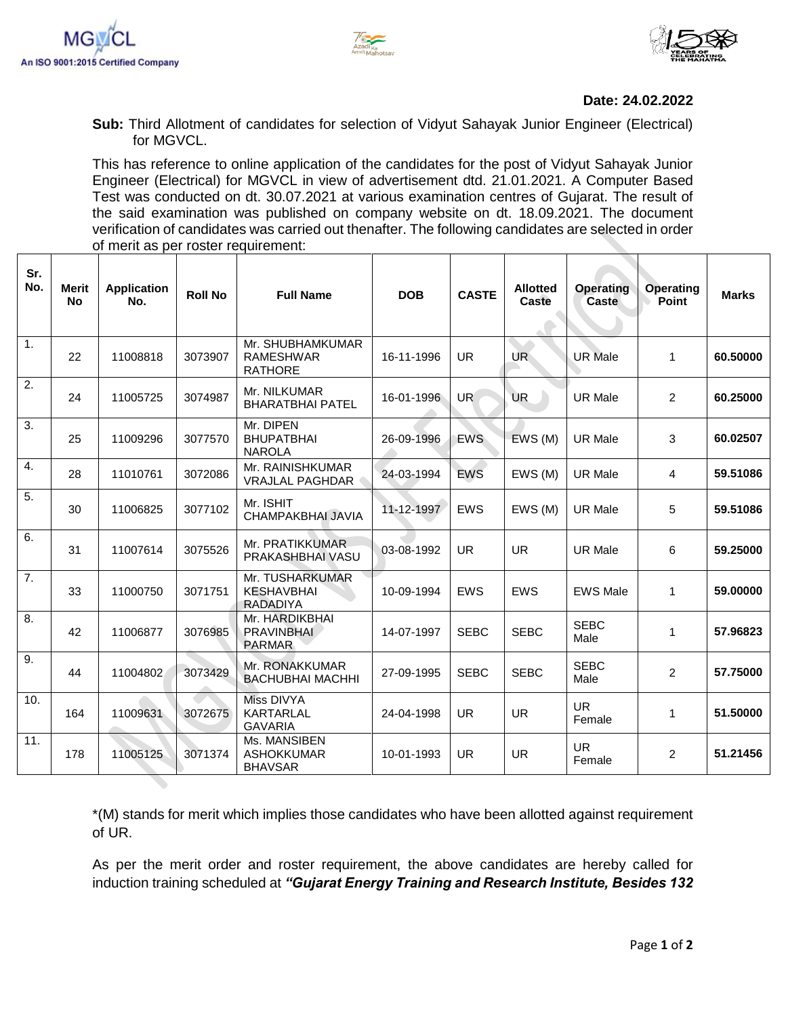





## **Date: 24.02.2022**

**Sub:** Third Allotment of candidates for selection of Vidyut Sahayak Junior Engineer (Electrical) for MGVCL.

This has reference to online application of the candidates for the post of Vidyut Sahayak Junior Engineer (Electrical) for MGVCL in view of advertisement dtd. 21.01.2021. A Computer Based Test was conducted on dt. 30.07.2021 at various examination centres of Gujarat. The result of the said examination was published on company website on dt. 18.09.2021. The document verification of candidates was carried out thenafter. The following candidates are selected in order of merit as per roster requirement:

| Sr.<br>No.       | <b>Merit</b><br><b>No</b> | <b>Application</b><br>No. | <b>Roll No</b> | <b>Full Name</b>                                        | <b>DOB</b> | <b>CASTE</b>    | <b>Allotted</b><br>Caste | <b>Operating</b><br>Caste | <b>Operating</b><br>Point | <b>Marks</b> |
|------------------|---------------------------|---------------------------|----------------|---------------------------------------------------------|------------|-----------------|--------------------------|---------------------------|---------------------------|--------------|
| 1 <sub>1</sub>   | 22                        | 11008818                  | 3073907        | Mr. SHUBHAMKUMAR<br><b>RAMESHWAR</b><br><b>RATHORE</b>  | 16-11-1996 | <b>UR</b>       | UR <sup></sup>           | <b>UR Male</b>            | $\mathbf{1}$              | 60.50000     |
| $\overline{2}$ . | 24                        | 11005725                  | 3074987        | Mr. NILKUMAR<br><b>BHARATBHAI PATEL</b>                 | 16-01-1996 | UR <sup>1</sup> | <b>UR</b>                | <b>UR Male</b>            | $\overline{2}$            | 60.25000     |
| $\overline{3}$ . | 25                        | 11009296                  | 3077570        | Mr. DIPEN<br><b>BHUPATBHAI</b><br><b>NAROLA</b>         | 26-09-1996 | <b>EWS</b>      | EWS (M)                  | <b>UR Male</b>            | 3                         | 60.02507     |
| 4.               | 28                        | 11010761                  | 3072086        | Mr. RAINISHKUMAR<br><b>VRAJLAL PAGHDAR</b>              | 24-03-1994 | EWS             | EWS (M)                  | <b>UR Male</b>            | 4                         | 59.51086     |
| 5.               | 30                        | 11006825                  | 3077102        | Mr. ISHIT<br>CHAMPAKBHAI JAVIA                          | 11-12-1997 | <b>EWS</b>      | EWS (M)                  | <b>UR Male</b>            | 5                         | 59.51086     |
| 6.               | 31                        | 11007614                  | 3075526        | Mr. PRATIKKUMAR<br>PRAKASHBHAI VASU                     | 03-08-1992 | <b>UR</b>       | <b>UR</b>                | <b>UR Male</b>            | 6                         | 59.25000     |
| $\overline{7}$ . | 33                        | 11000750                  | 3071751        | Mr. TUSHARKUMAR<br><b>KESHAVBHAI</b><br><b>RADADIYA</b> | 10-09-1994 | <b>EWS</b>      | <b>EWS</b>               | <b>EWS Male</b>           | $\mathbf{1}$              | 59.00000     |
| 8.               | 42                        | 11006877                  | 3076985        | Mr. HARDIKBHAI<br><b>PRAVINBHAI</b><br><b>PARMAR</b>    | 14-07-1997 | <b>SEBC</b>     | <b>SEBC</b>              | <b>SEBC</b><br>Male       | $\mathbf{1}$              | 57.96823     |
| 9.               | 44                        | 11004802                  | 3073429        | Mr. RONAKKUMAR<br><b>BACHUBHAI MACHHI</b>               | 27-09-1995 | <b>SEBC</b>     | <b>SEBC</b>              | <b>SEBC</b><br>Male       | $\overline{2}$            | 57.75000     |
| 10.              | 164                       | 11009631                  | 3072675        | Miss DIVYA<br><b>KARTARLAL</b><br><b>GAVARIA</b>        | 24-04-1998 | <b>UR</b>       | <b>UR</b>                | <b>UR</b><br>Female       | 1                         | 51.50000     |
| 11.              | 178                       | 11005125                  | 3071374        | Ms. MANSIBEN<br><b>ASHOKKUMAR</b><br><b>BHAVSAR</b>     | 10-01-1993 | UR.             | <b>UR</b>                | <b>UR</b><br>Female       | $\overline{a}$            | 51.21456     |

\*(M) stands for merit which implies those candidates who have been allotted against requirement of UR.

As per the merit order and roster requirement, the above candidates are hereby called for induction training scheduled at *"Gujarat Energy Training and Research Institute, Besides 132*